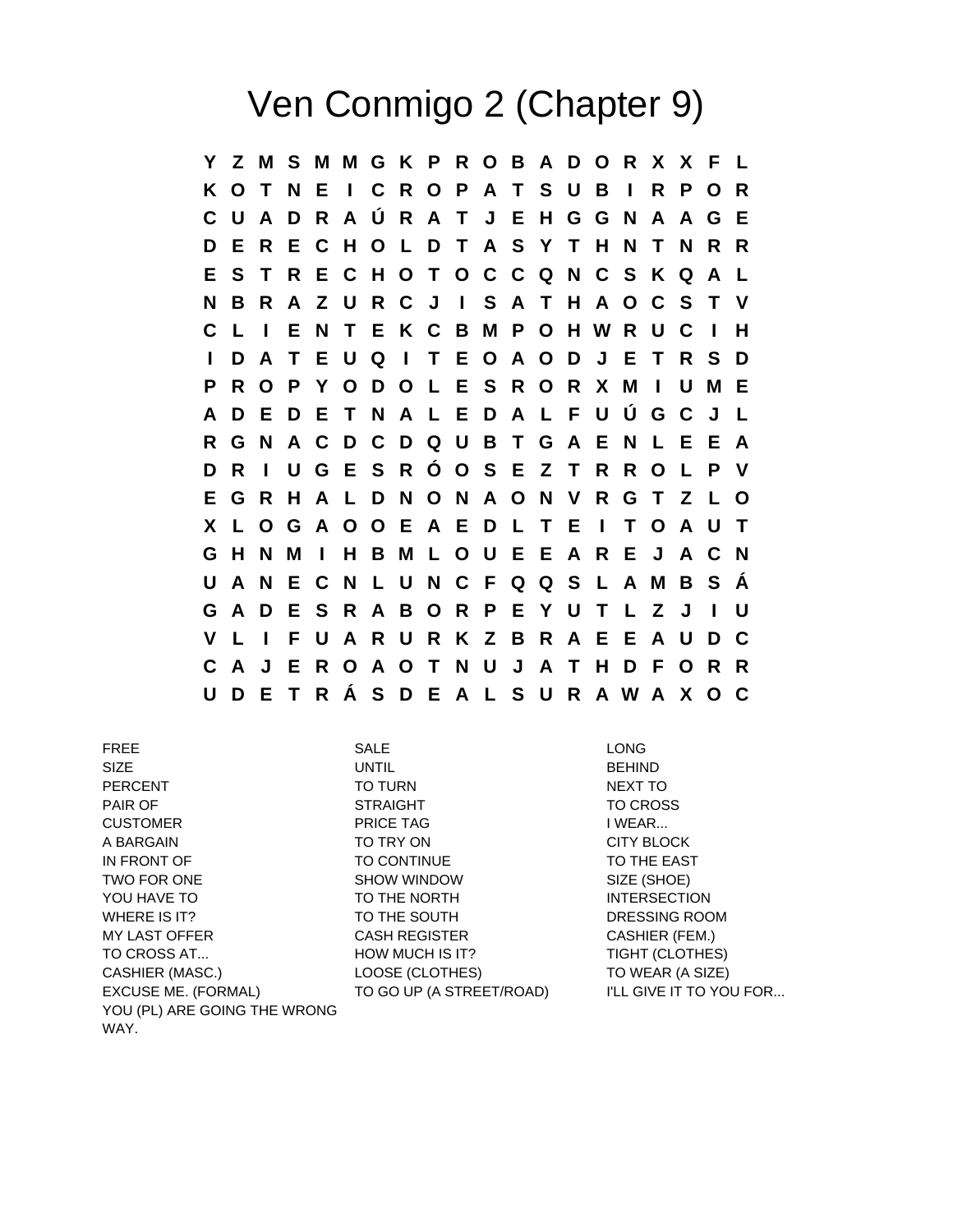## Ven Conmigo 2 (Chapter 9)

**Y Z M S M M G K P R O B A D O R X X F L K O T N E I C R O P A T S U B I R P O R C U A D R A Ú R A T J E H G G N A A G E D E R E C H O L D T A S Y T H N T N R R E S T R E C H O T O C C Q N C S K Q A L N B R A Z U R C J I S A T H A O C S T V C L I E N T E K C B M P O H W R U C I H I D A T E U Q I T E O A O D J E T R S D P R O P Y O D O L E S R O R X M I U M E A D E D E T N A L E D A L F U Ú G C J L R G N A C D C D Q U B T G A E N L E E A D R I U G E S R Ó O S E Z T R R O L P V E G R H A L D N O N A O N V R G T Z L O X L O G A O O E A E D L T E I T O A U T G H N M I H B M L O U E E A R E J A C N U A N E C N L U N C F Q Q S L A M B S Á G A D E S R A B O R P E Y U T L Z J I U V L I F U A R U R K Z B R A E E A U D C C A J E R O A O T N U J A T H D F O R R U D E T R Á S D E A L S U R A W A X O C**

FREE SALE LONG SIZE UNTIL BEHIND PERCENT TO TURN TO TURN NEXT TO PAIR OF **STRAIGHT** STRAIGHT **TO CROSS** CUSTOMER PRICE TAG I WEAR... A BARGAIN **TO TRY ON CITY BLOCK** IN FRONT OF TO THE EAST TO CONTINUE TO THE EAST TWO FOR ONE SHOW WINDOW SIZE (SHOE) YOU HAVE TO **TO THE NORTH INTERSECTION** WHERE IS IT? THE SOUTH TO THE SOUTH TO THE SOUTH MY LAST OFFER CASH REGISTER CASHIER (FEM.) TO CROSS AT... **HOW MUCH IS IT?** TIGHT (CLOTHES) CASHIER (MASC.) LOOSE (CLOTHES) TO WEAR (A SIZE) EXCUSE ME. (FORMAL) TO GO UP (A STREET/ROAD) I'LL GIVE IT TO YOU FOR... YOU (PL) ARE GOING THE WRONG WAY.